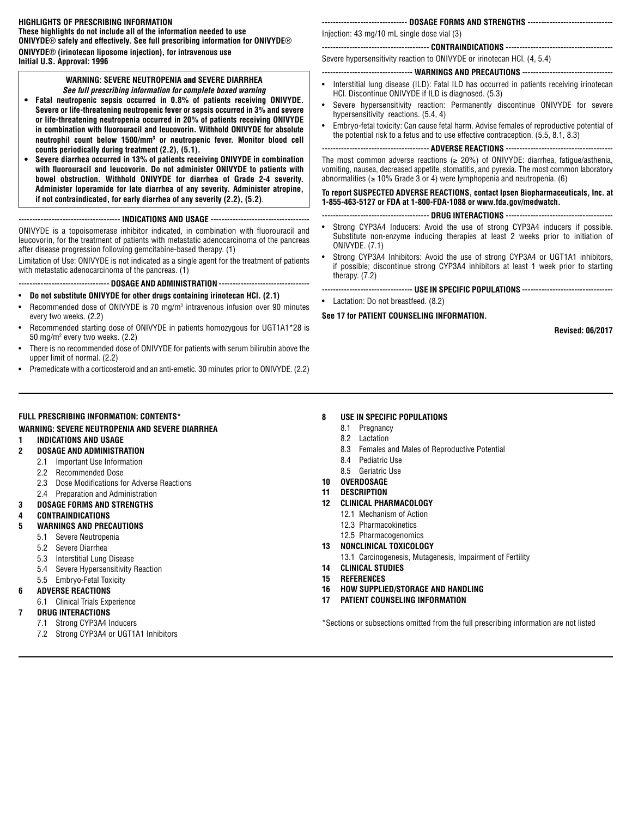# **HIGHLIGHTS OF PRESCRIBING INFORMATION**

**These highlights do not include all of the information needed to use ONIVYDE**® **safely and effectively. See full prescribing information for ONIVYDE**® **ONIVYDE**® **(irinotecan liposome injection), for intravenous use Initial U.S. Approval: 1996**

# **WARNING: SEVERE NEUTROPENIA** and **SEVERE DIARRHEA** *See full prescribing information for complete boxed warning*

- **• Fatal neutropenic sepsis occurred in 0.8% of patients receiving ONIVYDE. Severe or life-threatening neutropenic fever or sepsis occurred in 3% and severe or life-threatening neutropenia occurred in 20% of patients receiving ONIVYDE in combination with fluorouracil and leucovorin. Withhold ONIVYDE for absolute neutrophil count below 1500/mm3 or neutropenic fever. Monitor blood cell counts periodically during treatment (2.2), (5.1).**
- **• Severe diarrhea occurred in 13% of patients receiving ONIVYDE in combination with fluorouracil and leucovorin. Do not administer ONIVYDE to patients with bowel obstruction. Withhold ONIVYDE for diarrhea of Grade 2-4 severity. Administer loperamide for late diarrhea of any severity. Administer atropine, if not contraindicated, for early diarrhea of any severity (2.2), (5.2)**.

# **------------------------------------- INDICATIONS AND USAGE ------------------------------------**

ONIVYDE is a topoisomerase inhibitor indicated, in combination with fluorouracil and leucovorin, for the treatment of patients with metastatic adenocarcinoma of the pancreas after disease progression following gemcitabine-based therapy. (1)

Limitation of Use: ONIVYDE is not indicated as a single agent for the treatment of patients with metastatic adenocarcinoma of the pancreas. (1)

# **--------------------------------- DOSAGE AND ADMINISTRATION ---------------------------------**

# • **Do not substitute ONIVYDE for other drugs containing irinotecan HCl. (2.1)**

- Recommended dose of ONIVYDE is 70 mg/m<sup>2</sup> intravenous infusion over 90 minutes every two weeks. (2.2)
- Recommended starting dose of ONIVYDE in patients homozygous for UGT1A1\*28 is 50 mg/m2 every two weeks. (2.2)
- There is no recommended dose of ONIVYDE for patients with serum bilirubin above the upper limit of normal. (2.2)
- Premedicate with a corticosteroid and an anti-emetic. 30 minutes prior to ONIVYDE. (2.2)

# **------------------------------- DOSAGE FORMS AND STRENGTHS -------------------------------**

Injection: 43 mg/10 mL single dose vial (3)

# **--------------------------------------- CONTRAINDICATIONS ---------------------------------------**

Severe hypersensitivity reaction to ONIVYDE or irinotecan HCl. (4, 5.4)

# **--------------------------------- WARNINGS AND PRECAUTIONS ---------------------------------**

- Interstitial lung disease (ILD): Fatal ILD has occurred in patients receiving irinotecan HCl. Discontinue ONIVYDE if ILD is diagnosed. (5.3)
- Severe hypersensitivity reaction: Permanently discontinue ONIVYDE for severe hypersensitivity reactions. (5.4, 4)
- Embryo-fetal toxicity: Can cause fetal harm. Advise females of reproductive potential of the potential risk to a fetus and to use effective contraception. (5.5, 8.1, 8.3)

**--------------------------------------- ADVERSE REACTIONS ---------------------------------------**

The most common adverse reactions ( $\geq$  20%) of ONIVYDE: diarrhea, fatigue/asthenia, vomiting, nausea, decreased appetite, stomatitis, and pyrexia. The most common laboratory abnormalities ( $\geq 10\%$  Grade 3 or 4) were lymphopenia and neutropenia. (6)

**To report SUSPECTED ADVERSE REACTIONS, contact Ipsen Biopharmaceuticals, Inc. at 1-855-463-5127 or FDA at 1-800-FDA-1088 or www.fda.gov/medwatch***.*

- **--------------------------------------- DRUG INTERACTIONS ---------------------------------------**
- Strong CYP3A4 Inducers: Avoid the use of strong CYP3A4 inducers if possible. Substitute non-enzyme inducing therapies at least 2 weeks prior to initiation of ONIVYDE. (7.1)
- Strong CYP3A4 Inhibitors: Avoid the use of strong CYP3A4 or UGT1A1 inhibitors, if possible; discontinue strong CYP3A4 inhibitors at least 1 week prior to starting therapy. (7.2)

**--------------------------------- USE IN SPECIFIC POPULATIONS ---------------------------------**

• Lactation: Do not breastfeed. (8.2)

# **See 17 for PATIENT COUNSELING INFORMATION.**

**Revised: 06/2017**

# **8 USE IN SPECIFIC POPULATIONS**

- 8.1 Pregnancy
- 8.2 Lactation
- 8.3 Females and Males of Reproductive Potential
- 8.4 Pediatric Use
- 8.5 Geriatric Use
- **10 OVERDOSAGE**
- **11 DESCRIPTION**
- **12 CLINICAL PHARMACOLOGY**
	- 12.1 Mechanism of Action
	- 12.3 Pharmacokinetics
	- 12.5 Pharmacogenomics
- **13 NONCLINICAL TOXICOLOGY**
- 13.1 Carcinogenesis, Mutagenesis, Impairment of Fertility
- **14 CLINICAL STUDIES**
- **15 REFERENCES**
- **16 HOW SUPPLIED/STORAGE AND HANDLING**
- **17 PATIENT COUNSELING INFORMATION**

\*Sections or subsections omitted from the full prescribing information are not listed

- 
- 
- 5.5 Embryo-Fetal Toxicity
- **6 ADVERSE REACTIONS**
	-
- -
	- 7.2 Strong CYP3A4 or UGT1A1 Inhibitors

5.1 Severe Neutropenia 5.2 Severe Diarrhea

- 5.3 Interstitial Lung Disease
- 5.4 Severe Hypersensitivity Reaction
- 
- - 6.1 Clinical Trials Experience

# **7 DRUG INTERACTIONS**

- 7.1 Strong CYP3A4 Inducers
- 
- **2 DOSAGE AND ADMINISTRATION** 2.1 Important Use Information
	- 2.2 Recommended Dose 2.3 Dose Modifications for Adverse Reactions

**WARNING: SEVERE NEUTROPENIA AND SEVERE DIARRHEA**

- 2.4 Preparation and Administration
- 

**FULL PRESCRIBING INFORMATION: CONTENTS\***

- **3 DOSAGE FORMS AND STRENGTHS**
- **4 CONTRAINDICATIONS**

**1 INDICATIONS AND USAGE**

# **5 WARNINGS AND PRECAUTIONS**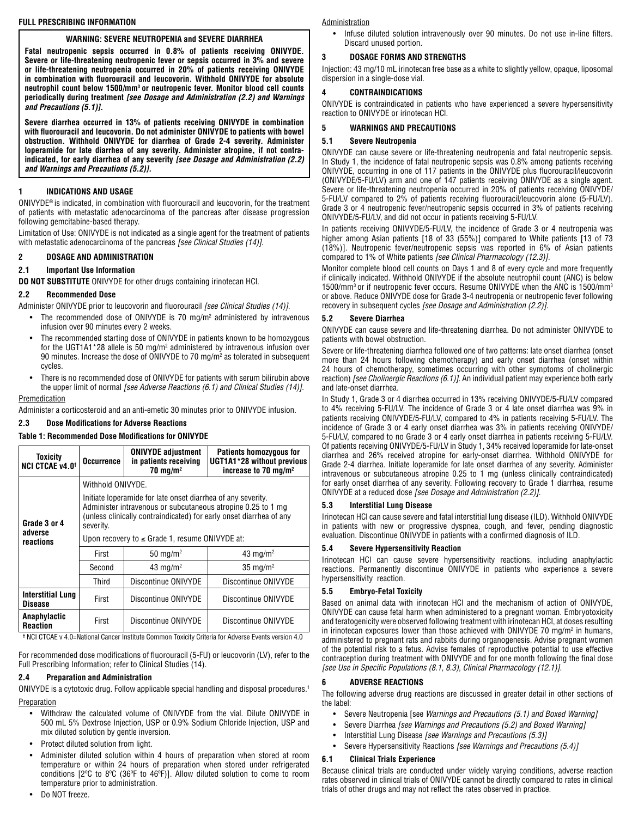# **FULL PRESCRIBING INFORMATION**

# **WARNING: SEVERE NEUTROPENIA and SEVERE DIARRHEA**

**Fatal neutropenic sepsis occurred in 0.8% of patients receiving ONIVYDE. Severe or life-threatening neutropenic fever or sepsis occurred in 3% and severe or life-threatening neutropenia occurred in 20% of patients receiving ONIVYDE in combination with fluorouracil and leucovorin. Withhold ONIVYDE for absolute neutrophil count below 1500/mm3 or neutropenic fever. Monitor blood cell counts periodically during treatment** *[see Dosage and Administration (2.2) and Warnings and Precautions (5.1)].* 

**Severe diarrhea occurred in 13% of patients receiving ONIVYDE in combination with fluorouracil and leucovorin. Do not administer ONIVYDE to patients with bowel obstruction. Withhold ONIVYDE for diarrhea of Grade 2-4 severity. Administer loperamide for late diarrhea of any severity. Administer atropine, if not contraindicated, for early diarrhea of any severity** *[see Dosage and Administration (2.2) and Warnings and Precautions (5.2)].*

## **1 INDICATIONS AND USAGE**

ONIVYDE® is indicated, in combination with fluorouracil and leucovorin, for the treatment of patients with metastatic adenocarcinoma of the pancreas after disease progression following gemcitabine-based therapy.

Limitation of Use: ONIVYDE is not indicated as a single agent for the treatment of patients with metastatic adenocarcinoma of the pancreas *[see Clinical Studies (14)]*.

# **2 DOSAGE AND ADMINISTRATION**

## **2.1 Important Use Information**

**DO NOT SUBSTITUTE** ONIVYDE for other drugs containing irinotecan HCl.

## **2.2 Recommended Dose**

Administer ONIVYDE prior to leucovorin and fluorouracil *[see Clinical Studies (14)]*.

- The recommended dose of ONIVYDE is 70 mg/m<sup>2</sup> administered by intravenous infusion over 90 minutes every 2 weeks.
- The recommended starting dose of ONIVYDE in patients known to be homozygous for the UGT1A1\*28 allele is 50 mg/m2 administered by intravenous infusion over 90 minutes. Increase the dose of ONIVYDE to 70 mg/m2 as tolerated in subsequent cycles.
- There is no recommended dose of ONIVYDE for patients with serum bilirubin above the upper limit of normal *[see Adverse Reactions (6.1) and Clinical Studies (14)].*

### Premedication

Administer a corticosteroid and an anti-emetic 30 minutes prior to ONIVYDE infusion.

# **2.3 Dose Modifications for Adverse Reactions**

# **Table 1: Recommended Dose Modifications for ONIVYDE**

| Toxicity<br><b>NCI CTCAE v4.0<sup>+</sup></b> | <b>Occurrence</b>                                                                                                                                                                                                | <b>ONIVYDE adjustment</b><br>in patients receiving<br>$70 \text{ mg/m}^2$ | <b>Patients homozygous for</b><br>UGT1A1*28 without previous<br>increase to 70 mg/m <sup>2</sup> |  |  |  |  |
|-----------------------------------------------|------------------------------------------------------------------------------------------------------------------------------------------------------------------------------------------------------------------|---------------------------------------------------------------------------|--------------------------------------------------------------------------------------------------|--|--|--|--|
|                                               | Withhold ONIVYDE.                                                                                                                                                                                                |                                                                           |                                                                                                  |  |  |  |  |
| Grade 3 or 4                                  | Initiate loperamide for late onset diarrhea of any severity.<br>Administer intravenous or subcutaneous atropine 0.25 to 1 mg<br>(unless clinically contraindicated) for early onset diarrhea of any<br>severity. |                                                                           |                                                                                                  |  |  |  |  |
| adverse<br>reactions                          | Upon recovery to $\leq$ Grade 1, resume ONIVYDE at:                                                                                                                                                              |                                                                           |                                                                                                  |  |  |  |  |
|                                               | First                                                                                                                                                                                                            | $50 \text{ mg/m}^2$                                                       | 43 mg/m <sup>2</sup>                                                                             |  |  |  |  |
|                                               | Second                                                                                                                                                                                                           | 43 mg/m <sup>2</sup>                                                      | $35 \text{ mg/m}^2$                                                                              |  |  |  |  |
|                                               | Third                                                                                                                                                                                                            | Discontinue ONIVYDE                                                       | Discontinue ONIVYDE                                                                              |  |  |  |  |
| <b>Interstitial Lung</b><br><b>Disease</b>    | First                                                                                                                                                                                                            | Discontinue ONIVYDE                                                       | Discontinue ONIVYDE                                                                              |  |  |  |  |
| Anaphylactic<br><b>Reaction</b>               | First                                                                                                                                                                                                            | Discontinue ONIVYDE                                                       | Discontinue ONIVYDE                                                                              |  |  |  |  |

**†** NCI CTCAE v 4.0=National Cancer Institute Common Toxicity Criteria for Adverse Events version 4.0

For recommended dose modifications of fluorouracil (5-FU) or leucovorin (LV), refer to the Full Prescribing Information; refer to Clinical Studies (14).

### **2.4 Preparation and Administration**

ONIVYDE is a cytotoxic drug. Follow applicable special handling and disposal procedures.1 Preparation

- Withdraw the calculated volume of ONIVYDE from the vial. Dilute ONIVYDE in 500 mL 5% Dextrose Injection, USP or 0.9% Sodium Chloride Injection, USP and mix diluted solution by gentle inversion.
- Protect diluted solution from light.
- Administer diluted solution within 4 hours of preparation when stored at room temperature or within 24 hours of preparation when stored under refrigerated conditions [2ºC to 8ºC (36ºF to 46ºF)]. Allow diluted solution to come to room temperature prior to administration.
- Do NOT freeze.

#### **Administration**

• Infuse diluted solution intravenously over 90 minutes. Do not use in-line filters. Discard unused portion.

## **3 DOSAGE FORMS AND STRENGTHS**

Injection: 43 mg/10 mL irinotecan free base as a white to slightly yellow, opaque, liposomal dispersion in a single-dose vial.

## **4 CONTRAINDICATIONS**

ONIVYDE is contraindicated in patients who have experienced a severe hypersensitivity reaction to ONIVYDE or irinotecan HCl.

# **5 WARNINGS AND PRECAUTIONS**

### **5.1 Severe Neutropenia**

ONIVYDE can cause severe or life-threatening neutropenia and fatal neutropenic sepsis. In Study 1, the incidence of fatal neutropenic sepsis was 0.8% among patients receiving ONIVYDE, occurring in one of 117 patients in the ONIVYDE plus fluorouracil/leucovorin (ONIVYDE/5-FU/LV) arm and one of 147 patients receiving ONIVYDE as a single agent. Severe or life-threatening neutropenia occurred in 20% of patients receiving ONIVYDE/ 5-FU/LV compared to 2% of patients receiving fluorouracil/leucovorin alone (5-FU/LV). Grade 3 or 4 neutropenic fever/neutropenic sepsis occurred in 3% of patients receiving ONIVYDE/5-FU/LV, and did not occur in patients receiving 5-FU/LV.

In patients receiving ONIVYDE/5-FU/LV, the incidence of Grade 3 or 4 neutropenia was higher among Asian patients [18 of 33 (55%)] compared to White patients [13 of 73 (18%)]. Neutropenic fever/neutropenic sepsis was reported in 6% of Asian patients compared to 1% of White patients *[see Clinical Pharmacology (12.3)].*

Monitor complete blood cell counts on Days 1 and 8 of every cycle and more frequently if clinically indicated. Withhold ONIVYDE if the absolute neutrophil count (ANC) is below 1500/mm3 or if neutropenic fever occurs. Resume ONIVYDE when the ANC is 1500/mm3 or above. Reduce ONIVYDE dose for Grade 3-4 neutropenia or neutropenic fever following recovery in subsequent cycles *[see Dosage and Administration (2.2)]*.

## **5.2 Severe Diarrhea**

ONIVYDE can cause severe and life-threatening diarrhea. Do not administer ONIVYDE to patients with bowel obstruction.

Severe or life-threatening diarrhea followed one of two patterns: late onset diarrhea (onset more than 24 hours following chemotherapy) and early onset diarrhea (onset within 24 hours of chemotherapy, sometimes occurring with other symptoms of cholinergic reaction) *[see Cholinergic Reactions (6.1)]*. An individual patient may experience both early and late-onset diarrhea.

In Study 1, Grade 3 or 4 diarrhea occurred in 13% receiving ONIVYDE/5-FU/LV compared to 4% receiving 5-FU/LV. The incidence of Grade 3 or 4 late onset diarrhea was 9% in patients receiving ONIVYDE/5-FU/LV, compared to 4% in patients receiving 5-FU/LV. The incidence of Grade 3 or 4 early onset diarrhea was 3% in patients receiving ONIVYDE/ 5-FU/LV, compared to no Grade 3 or 4 early onset diarrhea in patients receiving 5-FU/LV. Of patients receiving ONIVYDE/5-FU/LV in Study 1, 34% received loperamide for late-onset diarrhea and 26% received atropine for early-onset diarrhea. Withhold ONIVYDE for Grade 2-4 diarrhea. Initiate loperamide for late onset diarrhea of any severity. Administer intravenous or subcutaneous atropine 0.25 to 1 mg (unless clinically contraindicated) for early onset diarrhea of any severity. Following recovery to Grade 1 diarrhea, resume ONIVYDE at a reduced dose *[see Dosage and Administration (2.2)]*.

#### **5.3 Interstitial Lung Disease**

Irinotecan HCl can cause severe and fatal interstitial lung disease (ILD). Withhold ONIVYDE in patients with new or progressive dyspnea, cough, and fever, pending diagnostic evaluation. Discontinue ONIVYDE in patients with a confirmed diagnosis of ILD.

# **5.4 Severe Hypersensitivity Reaction**

Irinotecan HCl can cause severe hypersensitivity reactions, including anaphylactic reactions. Permanently discontinue ONIVYDE in patients who experience a severe hypersensitivity reaction.

#### **5.5 Embryo-Fetal Toxicity**

Based on animal data with irinotecan HCl and the mechanism of action of ONIVYDE, ONIVYDE can cause fetal harm when administered to a pregnant woman. Embryotoxicity and teratogenicity were observed following treatment with irinotecan HCl, at doses resulting in irinotecan exposures lower than those achieved with ONIVYDE 70 mg/m<sup>2</sup> in humans, administered to pregnant rats and rabbits during organogenesis. Advise pregnant women of the potential risk to a fetus. Advise females of reproductive potential to use effective contraception during treatment with ONIVYDE and for one month following the final dose *[see Use in Specific Populations (8.1, 8.3), Clinical Pharmacology (12.1)]*.

#### **6 ADVERSE REACTIONS**

The following adverse drug reactions are discussed in greater detail in other sections of the label:

- Severe Neutropenia [see *Warnings and Precautions (5.1) and Boxed Warning]*
- Severe Diarrhea *[see Warnings and Precautions (5.2) and Boxed Warning]*
- Interstitial Lung Disease *[see Warnings and Precautions (5.3)]*
- Severe Hypersensitivity Reactions *[see Warnings and Precautions (5.4)]*

# **6.1 Clinical Trials Experience**

Because clinical trials are conducted under widely varying conditions, adverse reaction rates observed in clinical trials of ONIVYDE cannot be directly compared to rates in clinical trials of other drugs and may not reflect the rates observed in practice.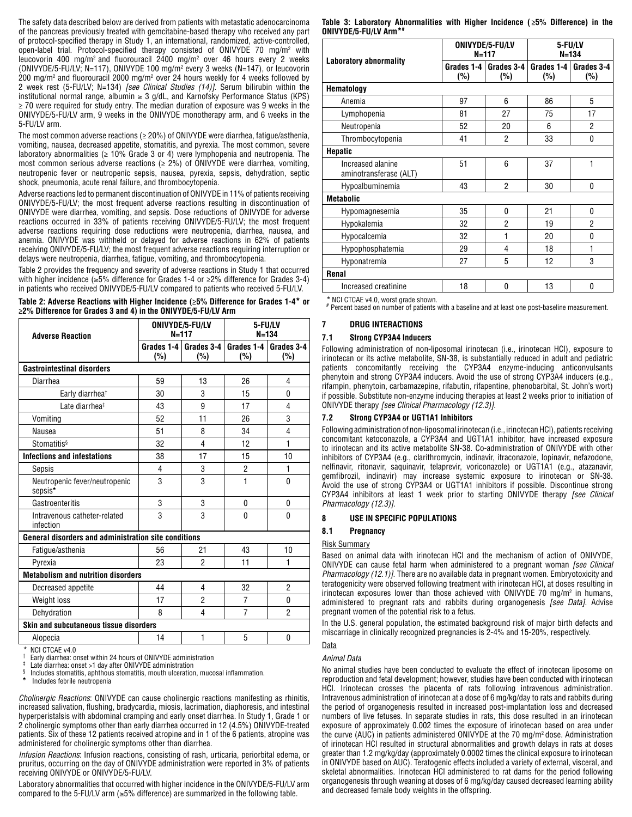The safety data described below are derived from patients with metastatic adenocarcinoma of the pancreas previously treated with gemcitabine-based therapy who received any part of protocol-specified therapy in Study 1, an international, randomized, active-controlled, open-label trial. Protocol-specified therapy consisted of ONIVYDE 70 mg/m<sup>2</sup> with leucovorin 400 mg/m<sup>2</sup> and fluorouracil 2400 mg/m<sup>2</sup> over 46 hours every 2 weeks (ONIVYDE/5-FU/LV; N=117), ONIVYDE 100 mg/m2 every 3 weeks (N=147), or leucovorin  $200$  mg/m<sup>2</sup> and fluorouracil 2000 mg/m<sup>2</sup> over 24 hours weekly for 4 weeks followed by 2 week rest (5-FU/LV; N=134) *[see Clinical Studies (14)]*. Serum bilirubin within the institutional normal range, albumin  $\geq 3$  g/dL, and Karnofsky Performance Status (KPS) ≥ 70 were required for study entry. The median duration of exposure was 9 weeks in the ONIVYDE/5-FU/LV arm, 9 weeks in the ONIVYDE monotherapy arm, and 6 weeks in the 5-FU/LV arm.

The most common adverse reactions ( $\geq$  20%) of ONIVYDE were diarrhea, fatigue/asthenia, vomiting, nausea, decreased appetite, stomatitis, and pyrexia. The most common, severe laboratory abnormalities ( $\geq$  10% Grade 3 or 4) were lymphopenia and neutropenia. The most common serious adverse reactions ( $\geq$  2%) of ONIVYDE were diarrhea, vomiting, neutropenic fever or neutropenic sepsis, nausea, pyrexia, sepsis, dehydration, septic shock, pneumonia, acute renal failure, and thrombocytopenia.

Adverse reactions led to permanent discontinuation of ONIVYDE in 11% of patients receiving ONIVYDE/5-FU/LV; the most frequent adverse reactions resulting in discontinuation of ONIVYDE were diarrhea, vomiting, and sepsis. Dose reductions of ONIVYDE for adverse reactions occurred in 33% of patients receiving ONIVYDE/5-FU/LV; the most frequent adverse reactions requiring dose reductions were neutropenia, diarrhea, nausea, and anemia. ONIVYDE was withheld or delayed for adverse reactions in 62% of patients receiving ONIVYDE/5-FU/LV; the most frequent adverse reactions requiring interruption or delays were neutropenia, diarrhea, fatigue, vomiting, and thrombocytopenia.

Table 2 provides the frequency and severity of adverse reactions in Study 1 that occurred with higher incidence (≥5% difference for Grades 1-4 or ≥2% difference for Grades 3-4) in patients who received ONIVYDE/5-FU/LV compared to patients who received 5-FU/LV.

| Table 2: Adverse Reactions with Higher Incidence ( $\geq$ 5% Difference for Grades 1-4* or |  |
|--------------------------------------------------------------------------------------------|--|
| $\geq$ 2% Difference for Grades 3 and 4) in the ONIVYDE/5-FU/LV Arm                        |  |

| <b>Adverse Reaction</b>                                     |                   | ONIVYDE/5-FU/LV<br>$N = 117$ |                     | 5-FU/LV<br>$N = 134$ |  |  |  |
|-------------------------------------------------------------|-------------------|------------------------------|---------------------|----------------------|--|--|--|
|                                                             | Grades 1-4<br>(%) | Grades 3-4<br>(%)            | Grades $1-4$<br>(%) | Grades 3-4<br>(%)    |  |  |  |
| <b>Gastrointestinal disorders</b>                           |                   |                              |                     |                      |  |  |  |
| Diarrhea                                                    | 59                | 13                           | 26                  | 4                    |  |  |  |
| Early diarrhea <sup>†</sup>                                 | 30                | 3                            | 15                  | 0                    |  |  |  |
| Late diarrhea <sup>‡</sup>                                  | 43                | 9                            | 17                  | 4                    |  |  |  |
| Vomiting                                                    | 52                | 11                           | 26                  | 3                    |  |  |  |
| Nausea                                                      | 51                | 8                            | 34                  | 4                    |  |  |  |
| <b>Stomatitis</b> <sup>§</sup>                              | 32                | 4                            | 12                  | 1                    |  |  |  |
| <b>Infections and infestations</b>                          | 38                | 17                           | 15                  | 10                   |  |  |  |
| Sepsis                                                      | 4                 | 3                            | $\overline{2}$      | 1                    |  |  |  |
| Neutropenic fever/neutropenic<br>sepsis <sup>*</sup>        | 3                 | 3                            | 1                   | $\mathbf{0}$         |  |  |  |
| Gastroenteritis                                             | 3                 | 3                            | 0                   | 0                    |  |  |  |
| Intravenous catheter-related<br>infection                   | 3                 | 3                            | $\Omega$            | $\Omega$             |  |  |  |
| <b>General disorders and administration site conditions</b> |                   |                              |                     |                      |  |  |  |
| Fatigue/asthenia                                            | 56                | 21                           | 43                  | 10                   |  |  |  |
| Pvrexia                                                     | 23                | $\overline{2}$               | 11                  | 1                    |  |  |  |
| <b>Metabolism and nutrition disorders</b>                   |                   |                              |                     |                      |  |  |  |
| Decreased appetite                                          | 44                | 4                            | 32                  | $\overline{2}$       |  |  |  |
| Weight loss                                                 | 17                | $\overline{2}$               | $\overline{7}$      | 0                    |  |  |  |
| Dehydration                                                 | 8                 | 4                            | $\overline{7}$      | 2                    |  |  |  |
| Skin and subcutaneous tissue disorders                      |                   |                              |                     |                      |  |  |  |
| Alopecia                                                    | 14                | 1                            | 5                   | 0                    |  |  |  |

NCI CTCAE v4.0<br>Early diarrhea: onset within 24 hours of ONIVYDE administration<br>Late diarrhea: onset >1 day after ONIVYDE administration<br>Includes stomatitis, aphthous stomatitis, mouth ulceration, mucosal inflammation.<br>Incl

*Cholinergic Reactions*: ONIVYDE can cause cholinergic reactions manifesting as rhinitis, increased salivation, flushing, bradycardia, miosis, lacrimation, diaphoresis, and intestinal hyperperistalsis with abdominal cramping and early onset diarrhea*.* In Study 1, Grade 1 or 2 cholinergic symptoms other than early diarrhea occurred in 12 (4.5%) ONIVYDE-treated patients. Six of these 12 patients received atropine and in 1 of the 6 patients, atropine was administered for cholinergic symptoms other than diarrhea.

*Infusion Reactions*: Infusion reactions, consisting of rash, urticaria, periorbital edema, or pruritus, occurring on the day of ONIVYDE administration were reported in 3% of patients receiving ONIVYDE or ONIVYDE/5-FU/LV.

Laboratory abnormalities that occurred with higher incidence in the ONIVYDE/5-FU/LV arm compared to the 5-FU/LV arm (≥5% difference) are summarized in the following table.

|  |                       | Table 3: Laboratory Abnormalities with Higher Incidence ( $\geq 5\%$ Difference) in the |  |  |  |  |
|--|-----------------------|-----------------------------------------------------------------------------------------|--|--|--|--|
|  | ONIVYDE/5-FU/LV Arm*# |                                                                                         |  |  |  |  |

| Laboratory abnormality                      |                                        | ONIVYDE/5-FU/LV<br>$N = 117$ | 5-FU/LV<br>$N = 134$ |                   |  |  |
|---------------------------------------------|----------------------------------------|------------------------------|----------------------|-------------------|--|--|
|                                             | Grades 1-4<br>Grades 3-4<br>(%)<br>(%) |                              | Grades $1-4$<br>(%)  | Grades 3-4<br>(%) |  |  |
| Hematology                                  |                                        |                              |                      |                   |  |  |
| Anemia                                      | 97                                     | 6                            | 86                   | 5                 |  |  |
| Lymphopenia                                 | 81                                     | 27                           | 75                   | 17                |  |  |
| Neutropenia                                 | 52                                     | 20                           | 6                    | 2                 |  |  |
| Thrombocytopenia                            | 41                                     | $\overline{2}$               | 33                   | 0                 |  |  |
| <b>Hepatic</b>                              |                                        |                              |                      |                   |  |  |
| Increased alanine<br>aminotransferase (ALT) | 51                                     | 6                            | 37                   | 1                 |  |  |
| Hypoalbuminemia                             | 43                                     | $\overline{2}$               | 30                   | 0                 |  |  |
| <b>Metabolic</b>                            |                                        |                              |                      |                   |  |  |
| Hypomagnesemia                              | 35                                     | $\mathbf{0}$                 | 21                   | 0                 |  |  |
| Hypokalemia                                 | 32                                     | $\overline{2}$               | 19                   | $\overline{2}$    |  |  |
| Hypocalcemia                                | 32                                     | 1                            | 20                   | 0                 |  |  |
| Hypophosphatemia                            | 29                                     | 4                            | 18                   | 1                 |  |  |
| Hyponatremia                                | 27                                     | 5                            | 12                   | 3                 |  |  |
| Renal                                       |                                        |                              |                      |                   |  |  |
| Increased creatinine                        | 18                                     | $\mathbf{0}$                 | 13                   | $\mathbf 0$       |  |  |

\* NCI CTCAE v4.0, worst grade shown.<br># Percent based on number of patients with a baseline and at least one post-baseline measurement.

# **7 DRUG INTERACTIONS**

#### **7.1 Strong CYP3A4 Inducers**

Following administration of non-liposomal irinotecan (i.e., irinotecan HCl), exposure to irinotecan or its active metabolite, SN-38, is substantially reduced in adult and pediatric patients concomitantly receiving the CYP3A4 enzyme-inducing anticonvulsants phenytoin and strong CYP3A4 inducers. Avoid the use of strong CYP3A4 inducers (e.g., rifampin, phenytoin, carbamazepine, rifabutin, rifapentine, phenobarbital, St. John's wort) if possible. Substitute non-enzyme inducing therapies at least 2 weeks prior to initiation of ONIVYDE therapy *[see Clinical Pharmacology (12.3)]*.

#### **7.2 Strong CYP3A4 or UGT1A1 Inhibitors**

Following administration of non-liposomal irinotecan (i.e., irinotecan HCl), patients receiving concomitant ketoconazole, a CYP3A4 and UGT1A1 inhibitor, have increased exposure to irinotecan and its active metabolite SN-38. Co-administration of ONIVYDE with other inhibitors of CYP3A4 (e.g., clarithromycin, indinavir, itraconazole, lopinavir, nefazodone, nelfinavir, ritonavir, saquinavir, telaprevir, voriconazole) or UGT1A1 (e.g., atazanavir, gemfibrozil, indinavir) may increase systemic exposure to irinotecan or SN-38. Avoid the use of strong CYP3A4 or UGT1A1 inhibitors if possible. Discontinue strong CYP3A4 inhibitors at least 1 week prior to starting ONIVYDE therapy *[see Clinical Pharmacology (12.3)]*.

#### **8 USE IN SPECIFIC POPULATIONS**

#### **8.1 Pregnancy**

#### Risk Summary

Based on animal data with irinotecan HCl and the mechanism of action of ONIVYDE, ONIVYDE can cause fetal harm when administered to a pregnant woman *[see Clinical Pharmacology (12.1)]*. There are no available data in pregnant women. Embryotoxicity and teratogenicity were observed following treatment with irinotecan HCl, at doses resulting in irinotecan exposures lower than those achieved with  $\rm ONIVYDE$  70 mg/m² in humans, administered to pregnant rats and rabbits during organogenesis *[see Data]*. Advise pregnant women of the potential risk to a fetus.

In the U.S. general population, the estimated background risk of major birth defects and miscarriage in clinically recognized pregnancies is 2-4% and 15-20%, respectively.

#### Data

#### *Animal Data*

No animal studies have been conducted to evaluate the effect of irinotecan liposome on reproduction and fetal development; however, studies have been conducted with irinotecan HCl. Irinotecan crosses the placenta of rats following intravenous administration. Intravenous administration of irinotecan at a dose of 6 mg/kg/day to rats and rabbits during the period of organogenesis resulted in increased post-implantation loss and decreased numbers of live fetuses. In separate studies in rats, this dose resulted in an irinotecan exposure of approximately 0.002 times the exposure of irinotecan based on area under the curve (AUC) in patients administered ONIVYDE at the 70 mg/m2 dose. Administration of irinotecan HCl resulted in structural abnormalities and growth delays in rats at doses greater than 1.2 mg/kg/day (approximately 0.0002 times the clinical exposure to irinotecan in ONIVYDE based on AUC). Teratogenic effects included a variety of external, visceral, and skeletal abnormalities. Irinotecan HCl administered to rat dams for the period following organogenesis through weaning at doses of 6 mg/kg/day caused decreased learning ability and decreased female body weights in the offspring.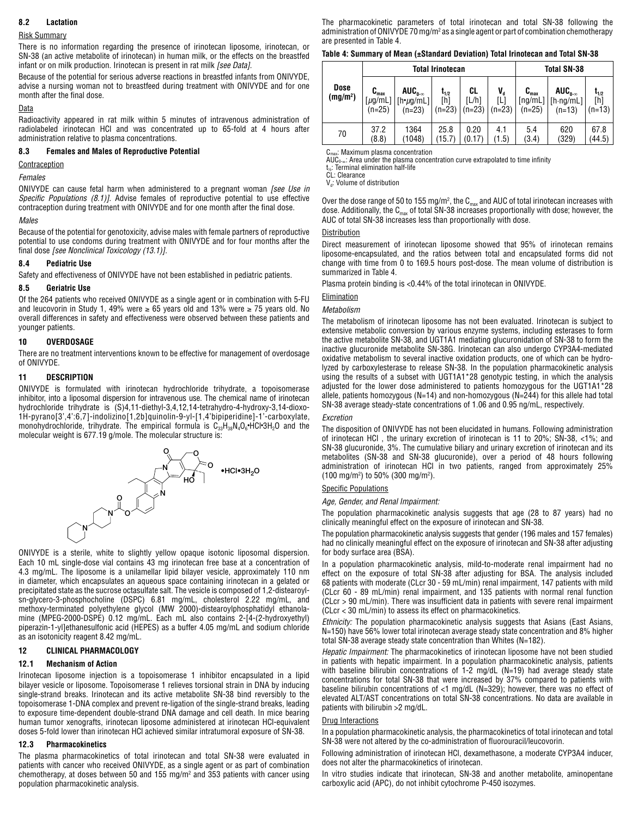# **8.2 Lactation**

### Risk Summary

There is no information regarding the presence of irinotecan liposome, irinotecan, or SN-38 (an active metabolite of irinotecan) in human milk, or the effects on the breastfed infant or on milk production. Irinotecan is present in rat milk *[see Data].*

Because of the potential for serious adverse reactions in breastfed infants from ONIVYDE, advise a nursing woman not to breastfeed during treatment with ONIVYDE and for one month after the final dose.

#### Data

Radioactivity appeared in rat milk within 5 minutes of intravenous administration of radiolabeled irinotecan HCl and was concentrated up to 65-fold at 4 hours after administration relative to plasma concentrations.

#### **8.3 Females and Males of Reproductive Potential**

## **Contraception**

#### *Females*

ONIVYDE can cause fetal harm when administered to a pregnant woman *[see Use in Specific Populations (8.1)].* Advise females of reproductive potential to use effective contraception during treatment with ONIVYDE and for one month after the final dose.

#### *Males*

Because of the potential for genotoxicity, advise males with female partners of reproductive potential to use condoms during treatment with ONIVYDE and for four months after the final dose *[see Nonclinical Toxicology (13.1)].*

#### **8.4 Pediatric Use**

Safety and effectiveness of ONIVYDE have not been established in pediatric patients.

#### **8.5 Geriatric Use**

Of the 264 patients who received ONIVYDE as a single agent or in combination with 5-FU and leucovorin in Study 1, 49% were  $\geq 65$  years old and 13% were  $\geq 75$  years old. No overall differences in safety and effectiveness were observed between these patients and younger patients.

#### **10 OVERDOSAGE**

There are no treatment interventions known to be effective for management of overdosage of ONIVYDE.

#### **11 DESCRIPTION**

ONIVYDE is formulated with irinotecan hydrochloride trihydrate, a topoisomerase inhibitor, into a liposomal dispersion for intravenous use. The chemical name of irinotecan hydrochloride trihydrate is (S)4,11-diethyl-3,4,12,14-tetrahydro-4-hydroxy-3,14-dioxo-1H-pyrano[3',4':6,7]-indolizino[1,2b]quinolin-9-yl-[1,4'bipiperidine]-1'-carboxylate, monohydrochloride, trihydrate. The empirical formula is  $\mathsf{C}_{33}\mathsf{H}_{38}\mathsf{N}_{4}\mathsf{O}_{6}$ •HCl•3H $_2$ O and the molecular weight is 677.19 g/mole. The molecular structure is:



ONIVYDE is a sterile, white to slightly yellow opaque isotonic liposomal dispersion. Each 10 mL single-dose vial contains 43 mg irinotecan free base at a concentration of 4.3 mg/mL. The liposome is a unilamellar lipid bilayer vesicle, approximately 110 nm in diameter, which encapsulates an aqueous space containing irinotecan in a gelated or precipitated state as the sucrose octasulfate salt. The vesicle is composed of 1,2-distearoylsn-glycero-3-phosphocholine (DSPC) 6.81 mg/mL, cholesterol 2.22 mg/mL, and methoxy-terminated polyethylene glycol (MW 2000)-distearoylphosphatidyl ethanolamine (MPEG-2000-DSPE) 0.12 mg/mL. Each mL also contains 2-[4-(2-hydroxyethyl) piperazin-1-yl]ethanesulfonic acid (HEPES) as a buffer 4.05 mg/mL and sodium chloride as an isotonicity reagent 8.42 mg/mL.

### **12 CLINICAL PHARMACOLOGY**

#### **12.1 Mechanism of Action**

Irinotecan liposome injection is a topoisomerase 1 inhibitor encapsulated in a lipid bilayer vesicle or liposome. Topoisomerase 1 relieves torsional strain in DNA by inducing single-strand breaks. Irinotecan and its active metabolite SN-38 bind reversibly to the topoisomerase 1-DNA complex and prevent re-ligation of the single-strand breaks, leading to exposure time-dependent double-strand DNA damage and cell death. In mice bearing human tumor xenografts, irinotecan liposome administered at irinotecan HCl-equivalent doses 5-fold lower than irinotecan HCl achieved similar intratumoral exposure of SN-38.

#### **12.3 Pharmacokinetics**

The plasma pharmacokinetics of total irinotecan and total SN-38 were evaluated in patients with cancer who received ONIVYDE, as a single agent or as part of combination chemotherapy, at doses between 50 and 155 mg/m<sup>2</sup> and 353 patients with cancer using population pharmacokinetic analysis.

The pharmacokinetic parameters of total irinotecan and total SN-38 following the administration of ONIVYDE 70 mg/m² as a single agent or part of combination chemotherapy are presented in Table 4.

|  |  | Table 4: Summary of Mean (±Standard Deviation) Total Irinotecan and Total SN-38 |  |  |  |
|--|--|---------------------------------------------------------------------------------|--|--|--|
|--|--|---------------------------------------------------------------------------------|--|--|--|

|                                     |                                 |                                                                                        | Total Irinotecan             | <b>Total SN-38</b>      |                            |                                                                              |                                                   |                              |
|-------------------------------------|---------------------------------|----------------------------------------------------------------------------------------|------------------------------|-------------------------|----------------------------|------------------------------------------------------------------------------|---------------------------------------------------|------------------------------|
| <b>Dose</b><br>(mg/m <sup>2</sup> ) | $\textbf{C}_{\max}$<br>$(n=25)$ | $AUC_{0-\infty}$<br>$[\mu g/\text{mL}]$ $[\text{h} \cdot \mu g/\text{mL}]$<br>$(n=23)$ | $L_{1/2}$<br>`h1<br>$(n=23)$ | CL<br>[L/h]<br>$(n=23)$ | $V_{d}$<br>[L]<br>$(n=23)$ | $C_{\text{max}}$<br>$\lceil \mathsf{ng}/\mathsf{mL} \rceil \mid$<br>$(n=25)$ | $AUC_{0-\infty}$<br>$[h \cdot ng/mL]$<br>$(n=13)$ | $t_{1/2}$<br>[h]<br>$(n=13)$ |
| 70                                  | 37.2<br>(8.8)                   | 1364<br>(1048)                                                                         | 25.8<br>(15.7)               | 0.20<br>(0.17)          | 4.1<br>(1.5)               | 5.4<br>(3.4)                                                                 | 620<br>(329)                                      | 67.8<br>(44.5)               |

 $\cdot$ : Maximum plasma concentration

AUC<sub>0-∞</sub>: Area under the plasma concentration curve extrapolated to time infinity

t½: Terminal elimination half-life CL: Clearance

V<sub>d</sub>: Volume of distribution

Over the dose range of 50 to 155 mg/m², the C $_{\sf max}$  and AUC of total irinotecan increases with dose. Additionally, the  $C_{\text{max}}$  of total SN-38 increases proportionally with dose; however, the AUC of total SN-38 increases less than proportionally with dose.

#### Distribution

Direct measurement of irinotecan liposome showed that 95% of irinotecan remains liposome-encapsulated, and the ratios between total and encapsulated forms did not change with time from 0 to 169.5 hours post-dose. The mean volume of distribution is summarized in Table 4.

Plasma protein binding is <0.44% of the total irinotecan in ONIVYDE.

### Elimination

#### *Metabolism*

The metabolism of irinotecan liposome has not been evaluated. Irinotecan is subject to extensive metabolic conversion by various enzyme systems, including esterases to form the active metabolite SN-38, and UGT1A1 mediating glucuronidation of SN-38 to form the inactive glucuronide metabolite SN-38G. Irinotecan can also undergo CYP3A4-mediated oxidative metabolism to several inactive oxidation products, one of which can be hydrolyzed by carboxylesterase to release SN-38. In the population pharmacokinetic analysis using the results of a subset with UGT1A1\*28 genotypic testing, in which the analysis adjusted for the lower dose administered to patients homozygous for the UGT1A1\*28 allele, patients homozygous (N=14) and non-homozygous (N= $244$ ) for this allele had total SN-38 average steady-state concentrations of 1.06 and 0.95 ng/mL, respectively.

#### *Excretion*

The disposition of ONIVYDE has not been elucidated in humans. Following administration of irinotecan HCl , the urinary excretion of irinotecan is 11 to 20%; SN-38, <1%; and SN-38 glucuronide, 3%. The cumulative biliary and urinary excretion of irinotecan and its metabolites (SN-38 and SN-38 glucuronide), over a period of 48 hours following administration of irinotecan HCl in two patients, ranged from approximately 25% (100 mg/m2 ) to 50% (300 mg/m2 ).

# Specific Populations

*Age, Gender, and Renal Impairment:* 

The population pharmacokinetic analysis suggests that age (28 to 87 years) had no clinically meaningful effect on the exposure of irinotecan and SN-38.

The population pharmacokinetic analysis suggests that gender (196 males and 157 females) had no clinically meaningful effect on the exposure of irinotecan and SN-38 after adjusting for body surface area (BSA).

In a population pharmacokinetic analysis, mild-to-moderate renal impairment had no effect on the exposure of total SN-38 after adjusting for BSA. The analysis included 68 patients with moderate (CLcr 30 - 59 mL/min) renal impairment, 147 patients with mild (CLcr 60 - 89 mL/min) renal impairment, and 135 patients with normal renal function (CLcr > 90 mL/min). There was insufficient data in patients with severe renal impairment (CLcr < 30 mL/min) to assess its effect on pharmacokinetics.

*Ethnicity:* The population pharmacokinetic analysis suggests that Asians (East Asians, N=150) have 56% lower total irinotecan average steady state concentration and 8% higher total SN-38 average steady state concentration than Whites (N=182).

*Hepatic Impairment:* The pharmacokinetics of irinotecan liposome have not been studied in patients with hepatic impairment. In a population pharmacokinetic analysis, patients with baseline bilirubin concentrations of 1-2 mg/dL (N=19) had average steady state concentrations for total SN-38 that were increased by 37% compared to patients with baseline bilirubin concentrations of <1 mg/dL (N=329); however, there was no effect of elevated ALT/AST concentrations on total SN-38 concentrations. No data are available in patients with bilirubin >2 mg/dL.

#### Drug Interactions

In a population pharmacokinetic analysis, the pharmacokinetics of total irinotecan and total SN-38 were not altered by the co-administration of fluorouracil/leucovorin.

Following administration of irinotecan HCl, dexamethasone, a moderate CYP3A4 inducer, does not alter the pharmacokinetics of irinotecan.

In vitro studies indicate that irinotecan, SN-38 and another metabolite, aminopentane carboxylic acid (APC), do not inhibit cytochrome P-450 isozymes.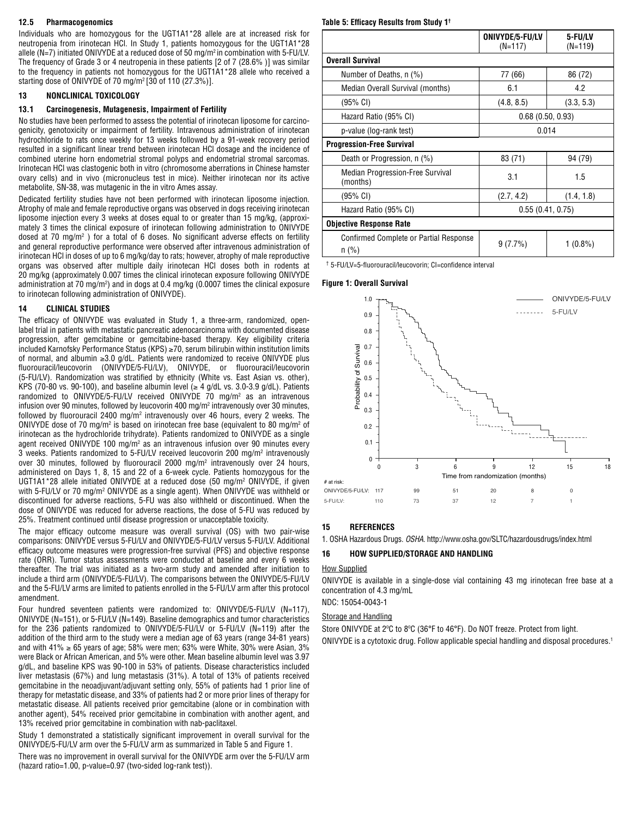## **12.5 Pharmacogenomics**

Individuals who are homozygous for the UGT1A1\*28 allele are at increased risk for neutropenia from irinotecan HCl. In Study 1, patients homozygous for the UGT1A1\*28 allele (N=7) initiated ONIVYDE at a reduced dose of 50 mg/m<sup>2</sup> in combination with 5-FU/LV. The frequency of Grade 3 or 4 neutropenia in these patients [2 of 7 (28.6% )] was similar to the frequency in patients not homozygous for the UGT1A1\*28 allele who received a starting dose of ONIVYDE of 70 mg/m2 [30 of 110 (27.3%)].

## **13 NONCLINICAL TOXICOLOGY**

#### **13.1 Carcinogenesis, Mutagenesis, Impairment of Fertility**

No studies have been performed to assess the potential of irinotecan liposome for carcinogenicity, genotoxicity or impairment of fertility. Intravenous administration of irinotecan hydrochloride to rats once weekly for 13 weeks followed by a 91-week recovery period resulted in a significant linear trend between irinotecan HCl dosage and the incidence of combined uterine horn endometrial stromal polyps and endometrial stromal sarcomas. Irinotecan HCl was clastogenic both in vitro (chromosome aberrations in Chinese hamster ovary cells) and in vivo (micronucleus test in mice). Neither irinotecan nor its active metabolite, SN-38, was mutagenic in the in vitro Ames assay.

Dedicated fertility studies have not been performed with irinotecan liposome injection. Atrophy of male and female reproductive organs was observed in dogs receiving irinotecan liposome injection every 3 weeks at doses equal to or greater than 15 mg/kg, (approximately 3 times the clinical exposure of irinotecan following administration to ONIVYDE dosed at 70 mg/m<sup>2</sup>) for a total of 6 doses. No significant adverse effects on fertility and general reproductive performance were observed after intravenous administration of irinotecan HCl in doses of up to 6 mg/kg/day to rats; however, atrophy of male reproductive organs was observed after multiple daily irinotecan HCl doses both in rodents at 20 mg/kg (approximately 0.007 times the clinical irinotecan exposure following ONIVYDE administration at 70 mg/m²) and in dogs at 0.4 mg/kg (0.0007 times the clinical exposure to irinotecan following administration of ONIVYDE).

## **14 CLINICAL STUDIES**

The efficacy of ONIVYDE was evaluated in Study 1, a three-arm, randomized, openlabel trial in patients with metastatic pancreatic adenocarcinoma with documented disease progression, after gemcitabine or gemcitabine-based therapy. Key eligibility criteria included Karnofsky Performance Status (KPS) ≥70, serum bilirubin within institution limits of normal, and albumin ≥3.0 g/dL. Patients were randomized to receive ONIVYDE plus fluorouracil/leucovorin (ONIVYDE/5-FU/LV), ONIVYDE, or fluorouracil/leucovorin (5-FU/LV). Randomization was stratified by ethnicity (White vs. East Asian vs. other), KPS (70-80 vs. 90-100), and baseline albumin level ( $\geq 4$  g/dL vs. 3.0-3.9 g/dL). Patients randomized to ONIVYDE/5-FU/LV received ONIVYDE 70 mg/m2 as an intravenous infusion over 90 minutes, followed by leucovorin 400 mg/m<sup>2</sup> intravenously over 30 minutes, followed by fluorouracil 2400 mg/m² intravenously over 46 hours, every 2 weeks. The ONIVYDE dose of 70 mg/m<sup>2</sup> is based on irinotecan free base (equivalent to 80 mg/m<sup>2</sup> of irinotecan as the hydrochloride trihydrate). Patients randomized to ONIVYDE as a single agent received ONIVYDE 100 mg/m<sup>2</sup> as an intravenous infusion over 90 minutes every 3 weeks. Patients randomized to 5-FU/LV received leucovorin 200 mg/m2 intravenously over 30 minutes, followed by fluorouracil 2000 mg/m2 intravenously over 24 hours, administered on Days 1, 8, 15 and 22 of a 6-week cycle. Patients homozygous for the UGT1A1\*28 allele initiated ONIVYDE at a reduced dose (50 mg/m2 ONIVYDE, if given with 5-FU/LV or 70 mg/m<sup>2</sup> ONIVYDE as a single agent). When ONIVYDE was withheld or discontinued for adverse reactions, 5-FU was also withheld or discontinued. When the dose of ONIVYDE was reduced for adverse reactions, the dose of 5-FU was reduced by 25%. Treatment continued until disease progression or unacceptable toxicity.

The major efficacy outcome measure was overall survival (OS) with two pair-wise comparisons: ONIVYDE versus 5-FU/LV and ONIVYDE/5-FU/LV versus 5-FU/LV. Additional efficacy outcome measures were progression-free survival (PFS) and objective response rate (ORR). Tumor status assessments were conducted at baseline and every 6 weeks thereafter. The trial was initiated as a two-arm study and amended after initiation to include a third arm (ONIVYDE/5-FU/LV). The comparisons between the ONIVYDE/5-FU/LV and the 5-FU/LV arms are limited to patients enrolled in the 5-FU/LV arm after this protocol amendment.

Four hundred seventeen patients were randomized to: ONIVYDE/5-FU/LV (N=117), ONIVYDE (N=151), or 5-FU/LV (N=149). Baseline demographics and tumor characteristics for the 236 patients randomized to ONIVYDE/5-FU/LV or 5-FU/LV (N=119) after the addition of the third arm to the study were a median age of 63 years (range 34-81 years) and with 41%  $\geq$  65 years of age; 58% were men; 63% were White, 30% were Asian, 3% were Black or African American, and 5% were other. Mean baseline albumin level was 3.97 g/dL, and baseline KPS was 90-100 in 53% of patients. Disease characteristics included liver metastasis (67%) and lung metastasis (31%). A total of 13% of patients received gemcitabine in the neoadjuvant/adjuvant setting only, 55% of patients had 1 prior line of therapy for metastatic disease, and 33% of patients had 2 or more prior lines of therapy for metastatic disease. All patients received prior gemcitabine (alone or in combination with another agent), 54% received prior gemcitabine in combination with another agent, and 13% received prior gemcitabine in combination with nab-paclitaxel.

Study 1 demonstrated a statistically significant improvement in overall survival for the ONIVYDE/5-FU/LV arm over the 5-FU/LV arm as summarized in Table 5 and Figure 1.

There was no improvement in overall survival for the ONIVYDE arm over the 5-FU/LV arm (hazard ratio=1.00, p-value=0.97 (two-sided log-rank test)).

# **Table 5: Efficacy Results from Study 1†**

|                                                     | ONIVYDE/5-FU/LV<br>(N=117) | 5-FU/LV<br>$(N=119)$ |  |  |
|-----------------------------------------------------|----------------------------|----------------------|--|--|
| <b>Overall Survival</b>                             |                            |                      |  |  |
| Number of Deaths, n (%)                             | 77 (66)                    | 86 (72)              |  |  |
| Median Overall Survival (months)                    | 6.1                        | 4.2                  |  |  |
| $(95\% \text{ Cl})$                                 | (4.8, 8.5)                 | (3.3, 5.3)           |  |  |
| Hazard Ratio (95% CI)                               | 0.68(0.50, 0.93)           |                      |  |  |
| p-value (log-rank test)                             | 0.014                      |                      |  |  |
| <b>Progression-Free Survival</b>                    |                            |                      |  |  |
| Death or Progression, n (%)                         | 83 (71)                    | 94 (79)              |  |  |
| <b>Median Progression-Free Survival</b><br>(months) | 3.1                        | 1.5                  |  |  |
| $(95% \text{ CI})$                                  | (2.7, 4.2)                 | (1.4, 1.8)           |  |  |
| Hazard Ratio (95% CI)                               | 0.55(0.41, 0.75)           |                      |  |  |
| <b>Objective Response Rate</b>                      |                            |                      |  |  |
| Confirmed Complete or Partial Response<br>$n$ (%)   | 9(7.7%)                    | 1 (0.8%)             |  |  |

† 5-FU/LV=5-fluorouracil/leucovorin; CI=confidence interval

#### **Figure 1: Overall Survival**



#### **15 REFERENCES**

1. OSHA Hazardous Drugs. *OSHA.* http://www.osha.gov/SLTC/hazardousdrugs/index.html

#### **16 HOW SUPPLIED/STORAGE AND HANDLING**

#### How Supplied

ONIVYDE is available in a single-dose vial containing 43 mg irinotecan free base at a concentration of 4.3 mg/mL

NDC: 15054-0043-1

# Storage and Handling

Store ONIVYDE at 2ºC to 8ºC (36°F to 46°F). Do NOT freeze. Protect from light. ONIVYDE is a cytotoxic drug. Follow applicable special handling and disposal procedures.1